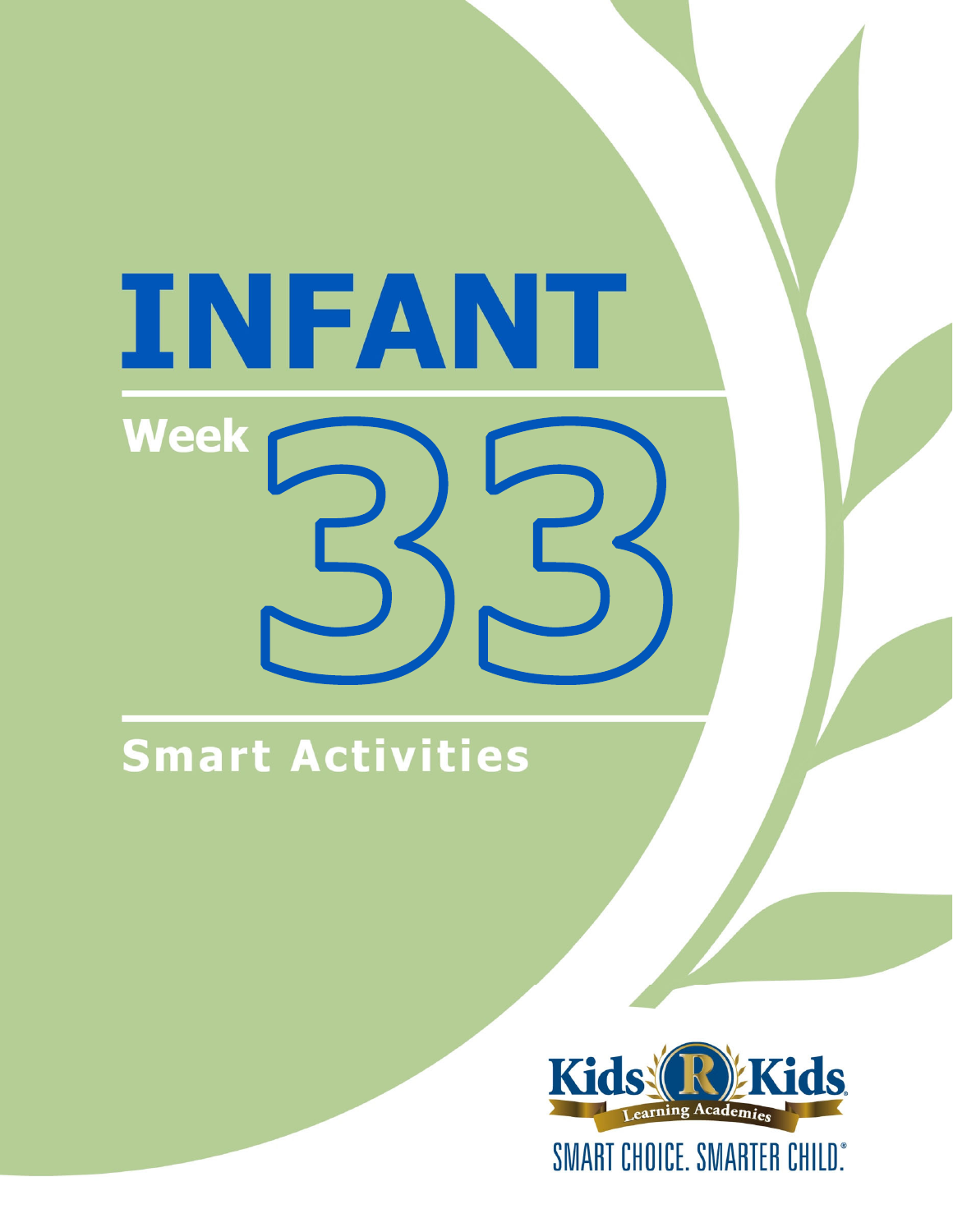# INFANT **Week**

# Smart Activities

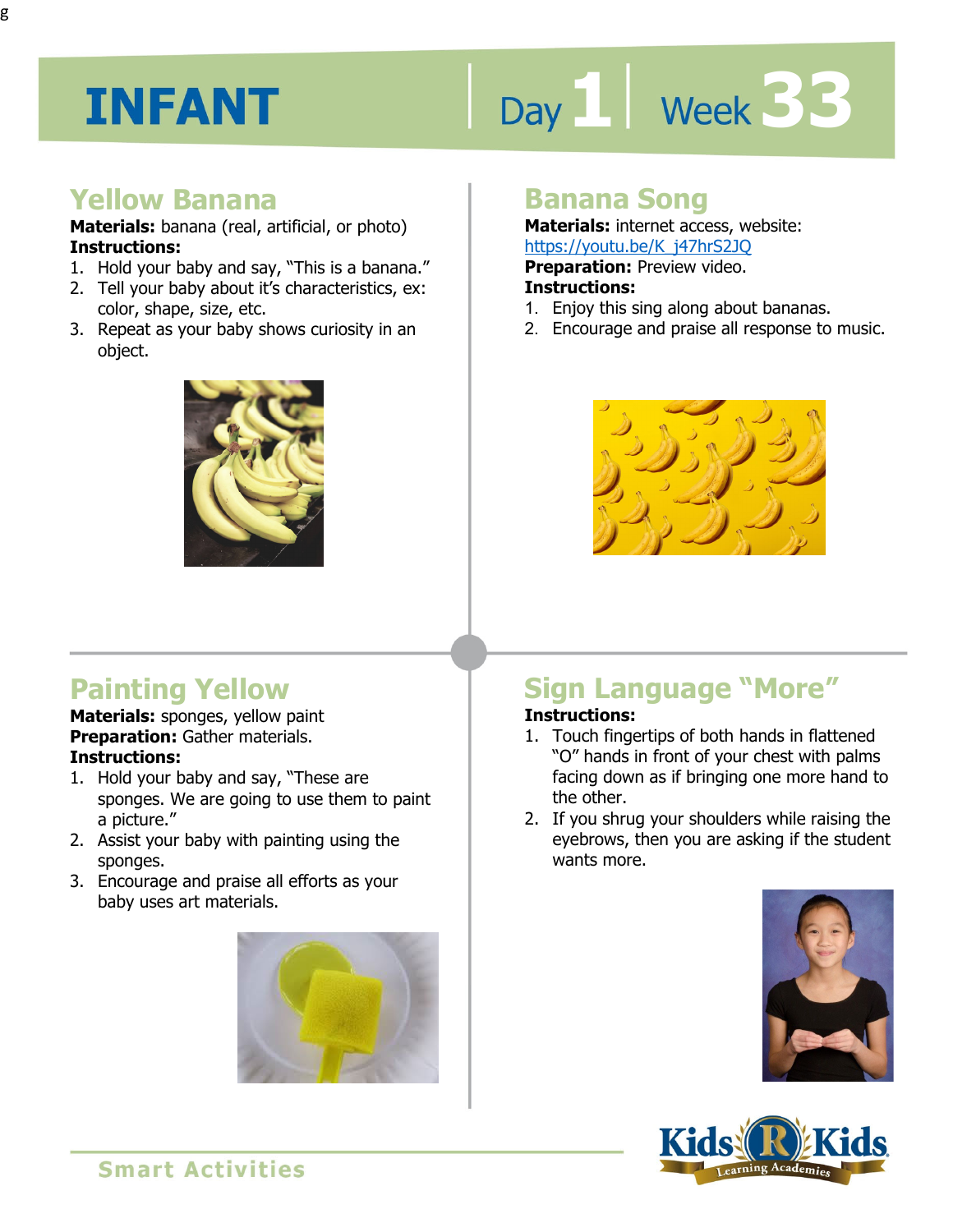# Day 1 | Week 33

#### **Yellow Banana**

**Materials:** banana (real, artificial, or photo) **Instructions:** 

- 1. Hold your baby and say, "This is a banana." 2. Tell your baby about it's characteristics, ex:
- color, shape, size, etc.
- 3. Repeat as your baby shows curiosity in an object.



# **Painting Yellow**

**Materials:** sponges, yellow paint **Preparation:** Gather materials. **Instructions:** 

- 1. Hold your baby and say, "These are sponges. We are going to use them to paint a picture."
- 2. Assist your baby with painting using the sponges.
- 3. Encourage and praise all efforts as your baby uses art materials.



## **Banana Song**

**Materials:** internet access, website: https://youtu.be/K\_j47hrS2JQ

**Preparation: Preview video.** 

#### **Instructions:**

- **Intps://youtu.be/Repartion: Proview Ander**<br>**Preparation:** Preview video.<br>1. Enjoy this sing along about bananas.
- 2. Encourage and praise all response to music.



# **Sign Language "More"**

#### **Instructions:**

- 1. Touch fingertips of both hands in flattened "O" hands in front of your chest with palms facing down as if bringing one more hand to the other.
- 2. If you shrug your shoulders while raising the eyebrows, then you are asking if the student wants more.



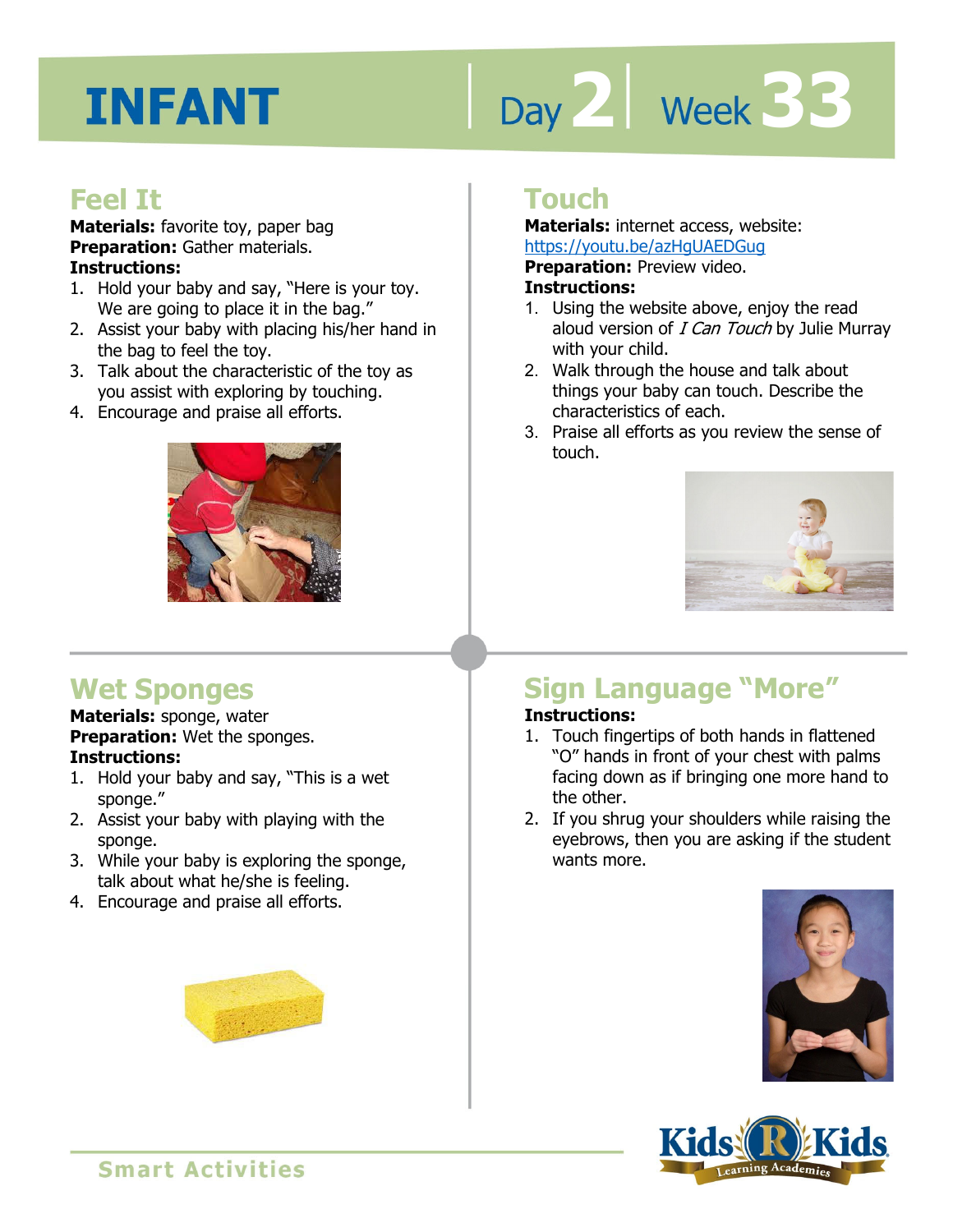# Day 2 **Week 33**

#### **Feel It**

**Materials:** favorite toy, paper bag **Preparation:** Gather materials. **Instructions:** 

- 1. Hold your baby and say, "Here is your toy. We are going to place it in the bag."
- 2. Assist your baby with placing his/her hand in the bag to feel the toy.
- 3. Talk about the characteristic of the toy as you assist with exploring by touching.
- 4. Encourage and praise all efforts.



# **Wet Sponges**

**Materials:** sponge, water **Preparation:** Wet the sponges. **Instructions:** 

- 1. Hold your baby and say, "This is a wet sponge."
- 2. Assist your baby with playing with the sponge.
- 3. While your baby is exploring the sponge, talk about what he/she is feeling.
- 4. Encourage and praise all efforts.

#### **Touch**

**Materials:** internet access, website: https://youtu.be/azHgUAEDGug

**Preparation:** Preview video.

#### **Instructions:**

- **1 4**  1. Using the website above, enjoy the read aloud version of *I Can Touch* by Julie Murray with your child.
- 2. Walk through the house and talk about things your baby can touch. Describe the characteristics of each.
- 3. Praise all efforts as you review the sense of touch.



#### **Sign Language "More" Instructions:**

- 1. Touch fingertips of both hands in flattened "O" hands in front of your chest with palms facing down as if bringing one more hand to the other.
- 2. If you shrug your shoulders while raising the eyebrows, then you are asking if the student wants more.





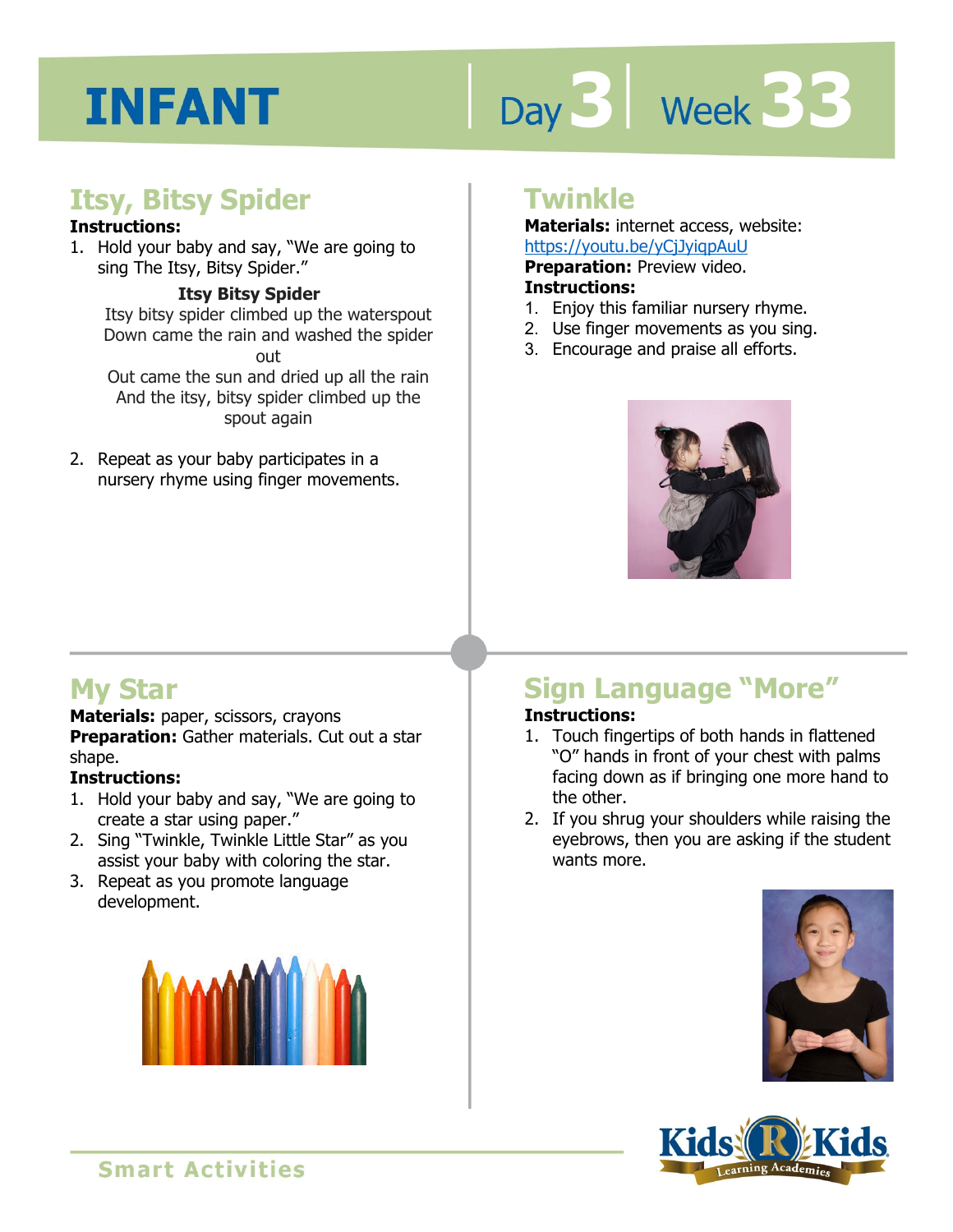# Day 3 | Week 33

## **Itsy, Bitsy Spider**

#### **Instructions:**

1. Hold your baby and say, "We are going to sing The Itsy, Bitsy Spider."

#### **Itsy Bitsy Spider**

Itsy bitsy spider climbed up the waterspout Down came the rain and washed the spider out Out came the sun and dried up all the rain

And the itsy, bitsy spider climbed up the spout again

2. Repeat as your baby participates in a nursery rhyme using finger movements.

#### **Twinkle**

**Materials:** internet access, website: https://youtu.be/yCjJyiqpAuU

**Preparation:** Preview video.

#### **Instructions:**

- 1. Enjoy this familiar nursery rhyme.
- 2. Use finger movements as you sing.
- 3. Encourage and praise all efforts.



## **My Star**

#### **Materials:** paper, scissors, crayons

**Preparation:** Gather materials. Cut out a star shape.

#### **Instructions:**

- 1. Hold your baby and say, "We are going to create a star using paper."
- 2. Sing "Twinkle, Twinkle Little Star" as you assist your baby with coloring the star.
- 3. Repeat as you promote language development.



# **Sign Language "More"**

#### **Instructions:**

- 1. Touch fingertips of both hands in flattened "O" hands in front of your chest with palms facing down as if bringing one more hand to the other.
- 2. If you shrug your shoulders while raising the eyebrows, then you are asking if the student wants more.



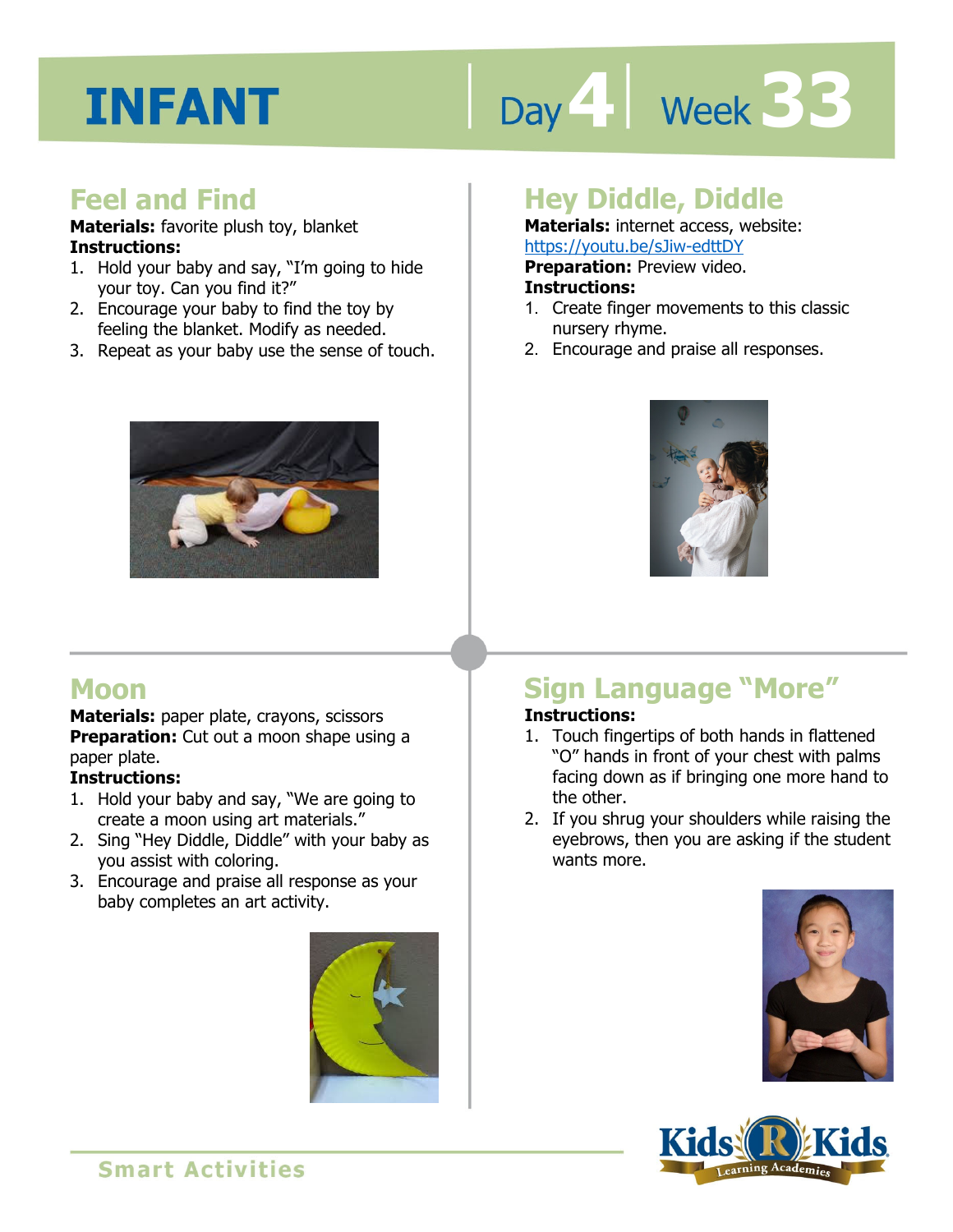# Day 4 Week 33

#### **Feel and Find**

**Materials:** favorite plush toy, blanket **Instructions:** 

- 1. Hold your baby and say, "I'm going to hide your toy. Can you find it?"
- 2. Encourage your baby to find the toy by feeling the blanket. Modify as needed.
- 3. Repeat as your baby use the sense of touch.



### **Hey Diddle, Diddle**

**Materials:** internet access, website: https://youtu.be/sJiw-edttDY

**Preparation:** Preview video.

#### **Instructions:**

- **Intps.//youtu.be/ssim-editDT**<br>**Preparation:** Preview video.<br>**Instructions:**<br>1. Create finger movements to this classic nursery rhyme.
- 2. Encourage and praise all responses.



## **Moon**

**Materials:** paper plate, crayons, scissors **Preparation:** Cut out a moon shape using a paper plate.

#### **Instructions:**

- 1. Hold your baby and say, "We are going to create a moon using art materials."
- 2. Sing "Hey Diddle, Diddle" with your baby as you assist with coloring.
- 3. Encourage and praise all response as your baby completes an art activity.



#### **Sign Language "More" Instructions:**

- 1. Touch fingertips of both hands in flattened "O" hands in front of your chest with palms facing down as if bringing one more hand to the other.
- 2. If you shrug your shoulders while raising the eyebrows, then you are asking if the student wants more.





**Smart Activities**